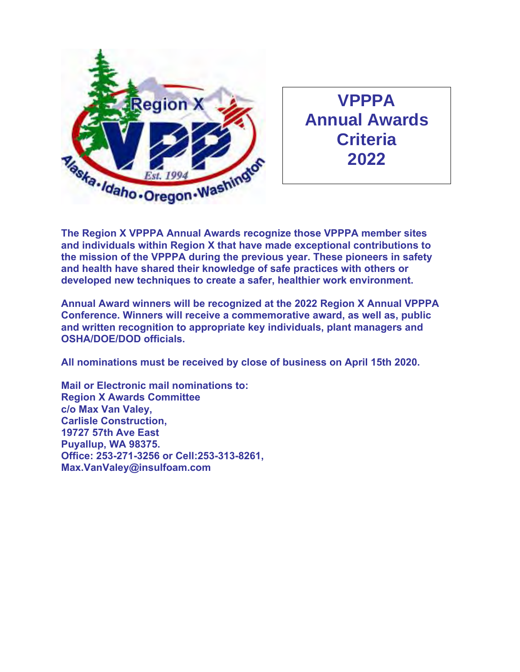

**VPPPA Annual Awards Criteria 2022**

**The Region X VPPPA Annual Awards recognize those VPPPA member sites and individuals within Region X that have made exceptional contributions to the mission of the VPPPA during the previous year. These pioneers in safety and health have shared their knowledge of safe practices with others or developed new techniques to create a safer, healthier work environment.** 

**Annual Award winners will be recognized at the 2022 Region X Annual VPPPA Conference. Winners will receive a commemorative award, as well as, public and written recognition to appropriate key individuals, plant managers and OSHA/DOE/DOD officials.** 

**All nominations must be received by close of business on April 15th 2020.** 

**Mail or Electronic mail nominations to: Region X Awards Committee c/o Max Van Valey, Carlisle Construction, 19727 57th Ave East Puyallup, WA 98375. Office: 253-271-3256 or Cell:253-313-8261, Max.VanValey@insulfoam.com**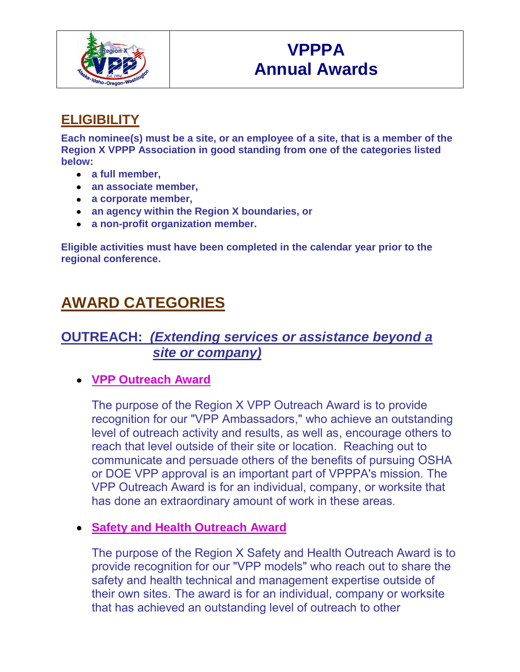

# **VPPPA Annual Awards**

## **ELIGIBILITY**

**Each nominee(s) must be a site, or an employee of a site, that is a member of the Region X VPPP Association in good standing from one of the categories listed below:** 

- **a full member,**
- **an associate member,**
- **a corporate member,**
- **an agency within the Region X boundaries, or**
- **a non-profit organization member.**

**Eligible activities must have been completed in the calendar year prior to the regional conference.** 

# **AWARD CATEGORIES**

### **OUTREACH:** *(Extending services or assistance beyond a site or company)*

#### **VPP Outreach Award**

The purpose of the Region X VPP Outreach Award is to provide recognition for our "VPP Ambassadors," who achieve an outstanding level of outreach activity and results, as well as, encourage others to reach that level outside of their site or location. Reaching out to communicate and persuade others of the benefits of pursuing OSHA or DOE VPP approval is an important part of VPPPA's mission. The VPP Outreach Award is for an individual, company, or worksite that has done an extraordinary amount of work in these areas.

#### **Safety and Health Outreach Award**

The purpose of the Region X Safety and Health Outreach Award is to provide recognition for our "VPP models" who reach out to share the safety and health technical and management expertise outside of their own sites. The award is for an individual, company or worksite that has achieved an outstanding level of outreach to other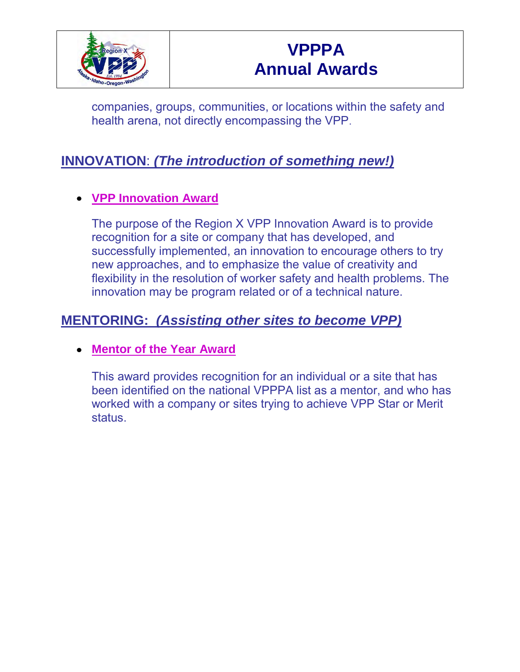

companies, groups, communities, or locations within the safety and health arena, not directly encompassing the VPP.

## **INNOVATION**: *(The introduction of something new!)*

#### **VPP Innovation Award**

The purpose of the Region X VPP Innovation Award is to provide recognition for a site or company that has developed, and successfully implemented, an innovation to encourage others to try new approaches, and to emphasize the value of creativity and flexibility in the resolution of worker safety and health problems. The innovation may be program related or of a technical nature.

## **MENTORING:** *(Assisting other sites to become VPP)*

#### **Mentor of the Year Award**

This award provides recognition for an individual or a site that has been identified on the national VPPPA list as a mentor, and who has worked with a company or sites trying to achieve VPP Star or Merit status.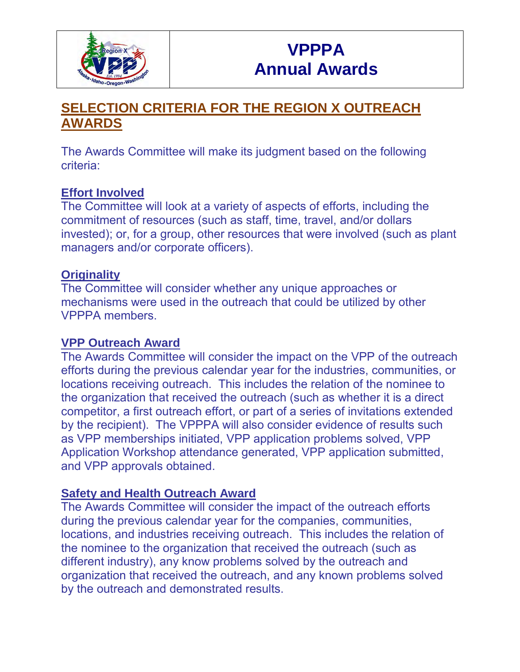

## **SELECTION CRITERIA FOR THE REGION X OUTREACH AWARDS**

The Awards Committee will make its judgment based on the following criteria:

#### **Effort Involved**

The Committee will look at a variety of aspects of efforts, including the commitment of resources (such as staff, time, travel, and/or dollars invested); or, for a group, other resources that were involved (such as plant managers and/or corporate officers).

#### **Originality**

The Committee will consider whether any unique approaches or mechanisms were used in the outreach that could be utilized by other VPPPA members.

#### **VPP Outreach Award**

The Awards Committee will consider the impact on the VPP of the outreach efforts during the previous calendar year for the industries, communities, or locations receiving outreach. This includes the relation of the nominee to the organization that received the outreach (such as whether it is a direct competitor, a first outreach effort, or part of a series of invitations extended by the recipient). The VPPPA will also consider evidence of results such as VPP memberships initiated, VPP application problems solved, VPP Application Workshop attendance generated, VPP application submitted, and VPP approvals obtained.

#### **Safety and Health Outreach Award**

The Awards Committee will consider the impact of the outreach efforts during the previous calendar year for the companies, communities, locations, and industries receiving outreach. This includes the relation of the nominee to the organization that received the outreach (such as different industry), any know problems solved by the outreach and organization that received the outreach, and any known problems solved by the outreach and demonstrated results.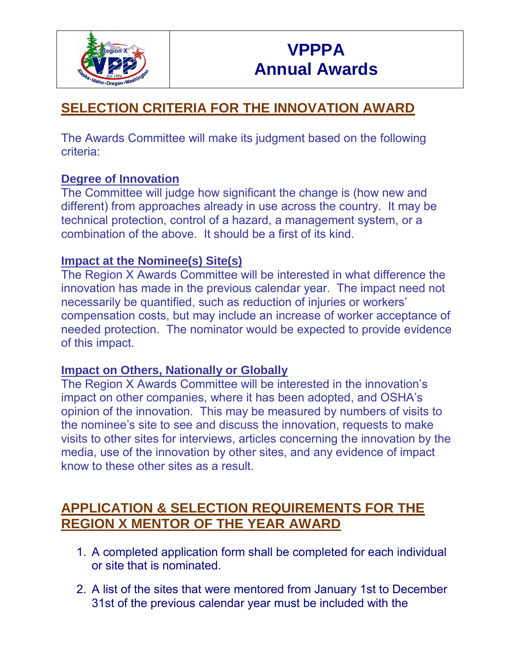

## **SELECTION CRITERIA FOR THE INNOVATION AWARD**

The Awards Committee will make its judgment based on the following criteria:

#### **Degree of Innovation**

The Committee will judge how significant the change is (how new and different) from approaches already in use across the country. It may be technical protection, control of a hazard, a management system, or a combination of the above. It should be a first of its kind.

#### **Impact at the Nominee(s) Site(s)**

The Region X Awards Committee will be interested in what difference the innovation has made in the previous calendar year. The impact need not necessarily be quantified, such as reduction of injuries or workers' compensation costs, but may include an increase of worker acceptance of needed protection. The nominator would be expected to provide evidence of this impact.

#### **Impact on Others, Nationally or Globally**

The Region X Awards Committee will be interested in the innovation's impact on other companies, where it has been adopted, and OSHA's opinion of the innovation. This may be measured by numbers of visits to the nominee's site to see and discuss the innovation, requests to make visits to other sites for interviews, articles concerning the innovation by the media, use of the innovation by other sites, and any evidence of impact know to these other sites as a result.

## **APPLICATION & SELECTION REQUIREMENTS FOR THE REGION X MENTOR OF THE YEAR AWARD**

- 1. A completed application form shall be completed for each individual or site that is nominated.
- 2. A list of the sites that were mentored from January 1st to December 31st of the previous calendar year must be included with the